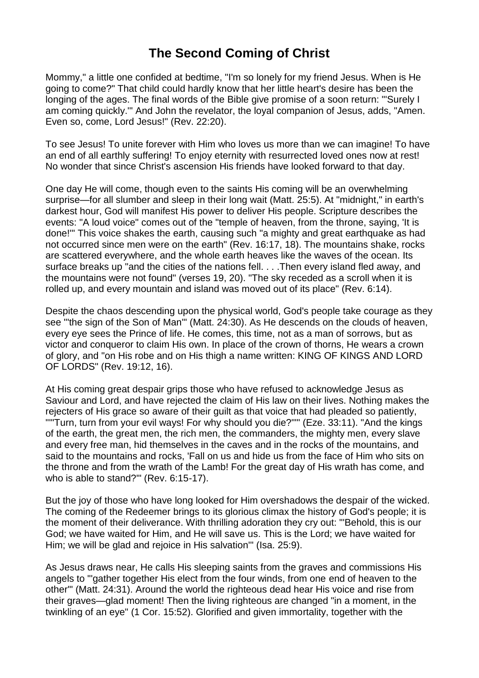# **The Second Coming of Christ**

Mommy," a little one confided at bedtime, "I'm so lonely for my friend Jesus. When is He going to come?" That child could hardly know that her little heart's desire has been the longing of the ages. The final words of the Bible give promise of a soon return: "'Surely I am coming quickly.'" And John the revelator, the loyal companion of Jesus, adds, "Amen. Even so, come, Lord Jesus!" (Rev. 22:20).

To see Jesus! To unite forever with Him who loves us more than we can imagine! To have an end of all earthly suffering! To enjoy eternity with resurrected loved ones now at rest! No wonder that since Christ's ascension His friends have looked forward to that day.

One day He will come, though even to the saints His coming will be an overwhelming surprise—for all slumber and sleep in their long wait (Matt. 25:5). At "midnight," in earth's darkest hour, God will manifest His power to deliver His people. Scripture describes the events: "A loud voice" comes out of the "temple of heaven, from the throne, saying, 'It is done!'" This voice shakes the earth, causing such "a mighty and great earthquake as had not occurred since men were on the earth" (Rev. 16:17, 18). The mountains shake, rocks are scattered everywhere, and the whole earth heaves like the waves of the ocean. Its surface breaks up "and the cities of the nations fell. . . .Then every island fled away, and the mountains were not found" (verses 19, 20). "The sky receded as a scroll when it is rolled up, and every mountain and island was moved out of its place" (Rev. 6:14).

Despite the chaos descending upon the physical world, God's people take courage as they see "'the sign of the Son of Man'" (Matt. 24:30). As He descends on the clouds of heaven, every eye sees the Prince of life. He comes, this time, not as a man of sorrows, but as victor and conqueror to claim His own. In place of the crown of thorns, He wears a crown of glory, and "on His robe and on His thigh a name written: KING OF KINGS AND LORD OF LORDS" (Rev. 19:12, 16).

At His coming great despair grips those who have refused to acknowledge Jesus as Saviour and Lord, and have rejected the claim of His law on their lives. Nothing makes the rejecters of His grace so aware of their guilt as that voice that had pleaded so patiently, "'"Turn, turn from your evil ways! For why should you die?"'" (Eze. 33:11). "And the kings of the earth, the great men, the rich men, the commanders, the mighty men, every slave and every free man, hid themselves in the caves and in the rocks of the mountains, and said to the mountains and rocks, 'Fall on us and hide us from the face of Him who sits on the throne and from the wrath of the Lamb! For the great day of His wrath has come, and who is able to stand?'" (Rev. 6:15-17).

But the joy of those who have long looked for Him overshadows the despair of the wicked. The coming of the Redeemer brings to its glorious climax the history of God's people; it is the moment of their deliverance. With thrilling adoration they cry out: "'Behold, this is our God; we have waited for Him, and He will save us. This is the Lord; we have waited for Him; we will be glad and rejoice in His salvation'" (Isa. 25:9).

As Jesus draws near, He calls His sleeping saints from the graves and commissions His angels to "'gather together His elect from the four winds, from one end of heaven to the other'" (Matt. 24:31). Around the world the righteous dead hear His voice and rise from their graves—glad moment! Then the living righteous are changed "in a moment, in the twinkling of an eye" (1 Cor. 15:52). Glorified and given immortality, together with the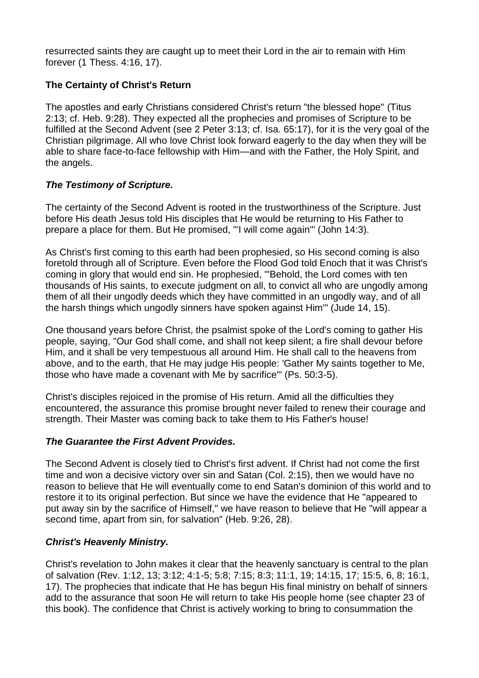resurrected saints they are caught up to meet their Lord in the air to remain with Him forever (1 Thess. 4:16, 17).

## **The Certainty of Christ's Return**

The apostles and early Christians considered Christ's return "the blessed hope" (Titus 2:13; cf. Heb. 9:28). They expected all the prophecies and promises of Scripture to be fulfilled at the Second Advent (see 2 Peter 3:13; cf. Isa. 65:17), for it is the very goal of the Christian pilgrimage. All who love Christ look forward eagerly to the day when they will be able to share face-to-face fellowship with Him—and with the Father, the Holy Spirit, and the angels.

#### *The Testimony of Scripture.*

The certainty of the Second Advent is rooted in the trustworthiness of the Scripture. Just before His death Jesus told His disciples that He would be returning to His Father to prepare a place for them. But He promised, "'I will come again'" (John 14:3).

As Christ's first coming to this earth had been prophesied, so His second coming is also foretold through all of Scripture. Even before the Flood God told Enoch that it was Christ's coming in glory that would end sin. He prophesied, "'Behold, the Lord comes with ten thousands of His saints, to execute judgment on all, to convict all who are ungodly among them of all their ungodly deeds which they have committed in an ungodly way, and of all the harsh things which ungodly sinners have spoken against Him'" (Jude 14, 15).

One thousand years before Christ, the psalmist spoke of the Lord's coming to gather His people, saying, "Our God shall come, and shall not keep silent; a fire shall devour before Him, and it shall be very tempestuous all around Him. He shall call to the heavens from above, and to the earth, that He may judge His people: 'Gather My saints together to Me, those who have made a covenant with Me by sacrifice'" (Ps. 50:3-5).

Christ's disciples rejoiced in the promise of His return. Amid all the difficulties they encountered, the assurance this promise brought never failed to renew their courage and strength. Their Master was coming back to take them to His Father's house!

#### *The Guarantee the First Advent Provides.*

The Second Advent is closely tied to Christ's first advent. If Christ had not come the first time and won a decisive victory over sin and Satan (Col. 2:15), then we would have no reason to believe that He will eventually come to end Satan's dominion of this world and to restore it to its original perfection. But since we have the evidence that He "appeared to put away sin by the sacrifice of Himself," we have reason to believe that He "will appear a second time, apart from sin, for salvation" (Heb. 9:26, 28).

#### *Christ's Heavenly Ministry.*

Christ's revelation to John makes it clear that the heavenly sanctuary is central to the plan of salvation (Rev. 1:12, 13; 3:12; 4:1-5; 5:8; 7:15; 8:3; 11:1, 19; 14:15, 17; 15:5, 6, 8; 16:1, 17). The prophecies that indicate that He has begun His final ministry on behalf of sinners add to the assurance that soon He will return to take His people home (see chapter 23 of this book). The confidence that Christ is actively working to bring to consummation the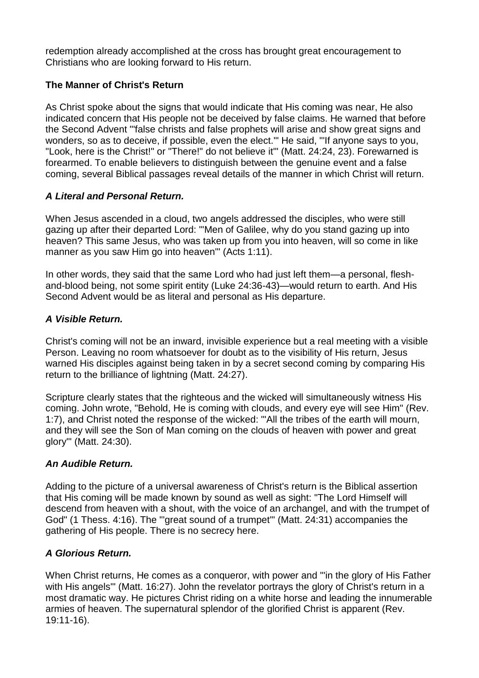redemption already accomplished at the cross has brought great encouragement to Christians who are looking forward to His return.

## **The Manner of Christ's Return**

As Christ spoke about the signs that would indicate that His coming was near, He also indicated concern that His people not be deceived by false claims. He warned that before the Second Advent "'false christs and false prophets will arise and show great signs and wonders, so as to deceive, if possible, even the elect.'" He said, "'If anyone says to you, "Look, here is the Christ!" or "There!" do not believe it'" (Matt. 24:24, 23). Forewarned is forearmed. To enable believers to distinguish between the genuine event and a false coming, several Biblical passages reveal details of the manner in which Christ will return.

## *A Literal and Personal Return.*

When Jesus ascended in a cloud, two angels addressed the disciples, who were still gazing up after their departed Lord: "'Men of Galilee, why do you stand gazing up into heaven? This same Jesus, who was taken up from you into heaven, will so come in like manner as you saw Him go into heaven'" (Acts 1:11).

In other words, they said that the same Lord who had just left them—a personal, fleshand-blood being, not some spirit entity (Luke 24:36-43)—would return to earth. And His Second Advent would be as literal and personal as His departure.

#### *A Visible Return.*

Christ's coming will not be an inward, invisible experience but a real meeting with a visible Person. Leaving no room whatsoever for doubt as to the visibility of His return, Jesus warned His disciples against being taken in by a secret second coming by comparing His return to the brilliance of lightning (Matt. 24:27).

Scripture clearly states that the righteous and the wicked will simultaneously witness His coming. John wrote, "Behold, He is coming with clouds, and every eye will see Him" (Rev. 1:7), and Christ noted the response of the wicked: "'All the tribes of the earth will mourn, and they will see the Son of Man coming on the clouds of heaven with power and great glory'" (Matt. 24:30).

#### *An Audible Return.*

Adding to the picture of a universal awareness of Christ's return is the Biblical assertion that His coming will be made known by sound as well as sight: "The Lord Himself will descend from heaven with a shout, with the voice of an archangel, and with the trumpet of God" (1 Thess. 4:16). The "'great sound of a trumpet'" (Matt. 24:31) accompanies the gathering of His people. There is no secrecy here.

# *A Glorious Return.*

When Christ returns, He comes as a conqueror, with power and "'in the glory of His Father with His angels" (Matt. 16:27). John the revelator portrays the glory of Christ's return in a most dramatic way. He pictures Christ riding on a white horse and leading the innumerable armies of heaven. The supernatural splendor of the glorified Christ is apparent (Rev. 19:11-16).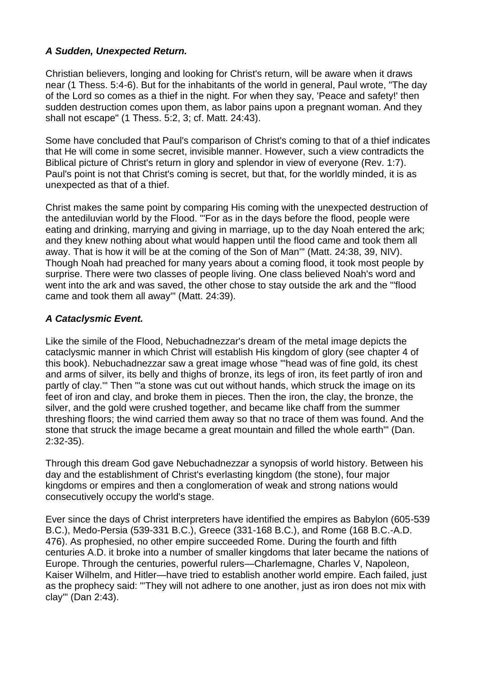## *A Sudden, Unexpected Return.*

Christian believers, longing and looking for Christ's return, will be aware when it draws near (1 Thess. 5:4-6). But for the inhabitants of the world in general, Paul wrote, "The day of the Lord so comes as a thief in the night. For when they say, 'Peace and safety!' then sudden destruction comes upon them, as labor pains upon a pregnant woman. And they shall not escape" (1 Thess. 5:2, 3; cf. Matt. 24:43).

Some have concluded that Paul's comparison of Christ's coming to that of a thief indicates that He will come in some secret, invisible manner. However, such a view contradicts the Biblical picture of Christ's return in glory and splendor in view of everyone (Rev. 1:7). Paul's point is not that Christ's coming is secret, but that, for the worldly minded, it is as unexpected as that of a thief.

Christ makes the same point by comparing His coming with the unexpected destruction of the antediluvian world by the Flood. "'For as in the days before the flood, people were eating and drinking, marrying and giving in marriage, up to the day Noah entered the ark; and they knew nothing about what would happen until the flood came and took them all away. That is how it will be at the coming of the Son of Man'" (Matt. 24:38, 39, NIV). Though Noah had preached for many years about a coming flood, it took most people by surprise. There were two classes of people living. One class believed Noah's word and went into the ark and was saved, the other chose to stay outside the ark and the "'flood came and took them all away'" (Matt. 24:39).

## *A Cataclysmic Event.*

Like the simile of the Flood, Nebuchadnezzar's dream of the metal image depicts the cataclysmic manner in which Christ will establish His kingdom of glory (see chapter 4 of this book). Nebuchadnezzar saw a great image whose "'head was of fine gold, its chest and arms of silver, its belly and thighs of bronze, its legs of iron, its feet partly of iron and partly of clay.'" Then "'a stone was cut out without hands, which struck the image on its feet of iron and clay, and broke them in pieces. Then the iron, the clay, the bronze, the silver, and the gold were crushed together, and became like chaff from the summer threshing floors; the wind carried them away so that no trace of them was found. And the stone that struck the image became a great mountain and filled the whole earth'" (Dan. 2:32-35).

Through this dream God gave Nebuchadnezzar a synopsis of world history. Between his day and the establishment of Christ's everlasting kingdom (the stone), four major kingdoms or empires and then a conglomeration of weak and strong nations would consecutively occupy the world's stage.

Ever since the days of Christ interpreters have identified the empires as Babylon (605-539 B.C.), Medo-Persia (539-331 B.C.), Greece (331-168 B.C.), and Rome (168 B.C.-A.D. 476). As prophesied, no other empire succeeded Rome. During the fourth and fifth centuries A.D. it broke into a number of smaller kingdoms that later became the nations of Europe. Through the centuries, powerful rulers—Charlemagne, Charles V, Napoleon, Kaiser Wilhelm, and Hitler—have tried to establish another world empire. Each failed, just as the prophecy said: "'They will not adhere to one another, just as iron does not mix with clay'" (Dan 2:43).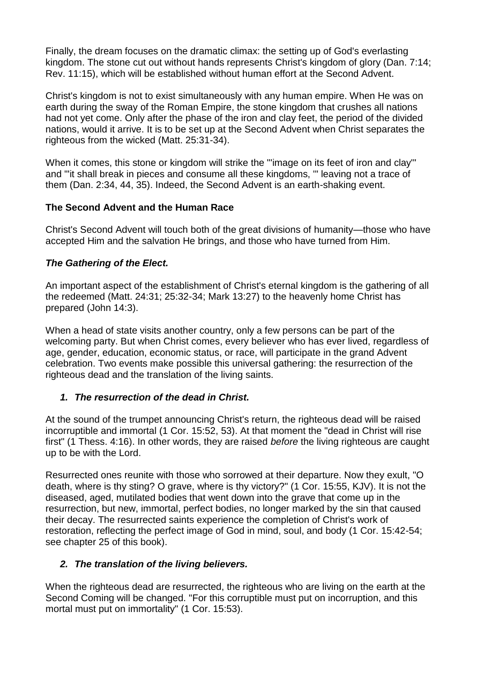Finally, the dream focuses on the dramatic climax: the setting up of God's everlasting kingdom. The stone cut out without hands represents Christ's kingdom of glory (Dan. 7:14; Rev. 11:15), which will be established without human effort at the Second Advent.

Christ's kingdom is not to exist simultaneously with any human empire. When He was on earth during the sway of the Roman Empire, the stone kingdom that crushes all nations had not yet come. Only after the phase of the iron and clay feet, the period of the divided nations, would it arrive. It is to be set up at the Second Advent when Christ separates the righteous from the wicked (Matt. 25:31-34).

When it comes, this stone or kingdom will strike the "'image on its feet of iron and clay'" and "'it shall break in pieces and consume all these kingdoms, '" leaving not a trace of them (Dan. 2:34, 44, 35). Indeed, the Second Advent is an earth-shaking event.

#### **The Second Advent and the Human Race**

Christ's Second Advent will touch both of the great divisions of humanity—those who have accepted Him and the salvation He brings, and those who have turned from Him.

## *The Gathering of the Elect.*

An important aspect of the establishment of Christ's eternal kingdom is the gathering of all the redeemed (Matt. 24:31; 25:32-34; Mark 13:27) to the heavenly home Christ has prepared (John 14:3).

When a head of state visits another country, only a few persons can be part of the welcoming party. But when Christ comes, every believer who has ever lived, regardless of age, gender, education, economic status, or race, will participate in the grand Advent celebration. Two events make possible this universal gathering: the resurrection of the righteous dead and the translation of the living saints.

#### *1. The resurrection of the dead in Christ.*

At the sound of the trumpet announcing Christ's return, the righteous dead will be raised incorruptible and immortal (1 Cor. 15:52, 53). At that moment the "dead in Christ will rise first" (1 Thess. 4:16). In other words, they are raised *before* the living righteous are caught up to be with the Lord.

Resurrected ones reunite with those who sorrowed at their departure. Now they exult, "O death, where is thy sting? O grave, where is thy victory?" (1 Cor. 15:55, KJV). It is not the diseased, aged, mutilated bodies that went down into the grave that come up in the resurrection, but new, immortal, perfect bodies, no longer marked by the sin that caused their decay. The resurrected saints experience the completion of Christ's work of restoration, reflecting the perfect image of God in mind, soul, and body (1 Cor. 15:42-54; see chapter 25 of this book).

# *2. The translation of the living believers.*

When the righteous dead are resurrected, the righteous who are living on the earth at the Second Coming will be changed. "For this corruptible must put on incorruption, and this mortal must put on immortality" (1 Cor. 15:53).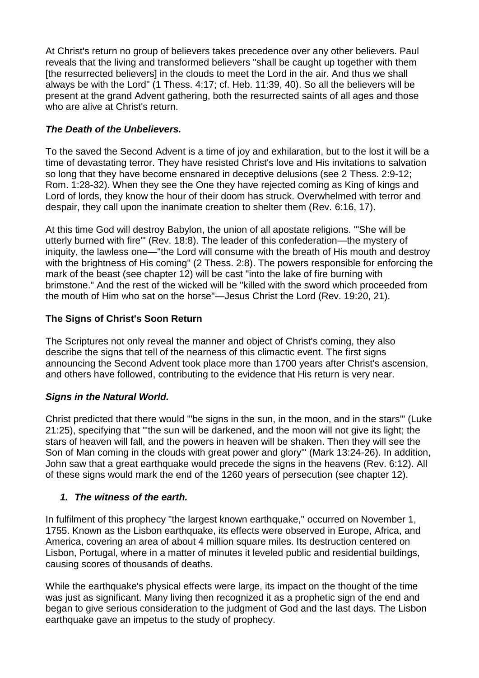At Christ's return no group of believers takes precedence over any other believers. Paul reveals that the living and transformed believers "shall be caught up together with them [the resurrected believers] in the clouds to meet the Lord in the air. And thus we shall always be with the Lord" (1 Thess. 4:17; cf. Heb. 11:39, 40). So all the believers will be present at the grand Advent gathering, both the resurrected saints of all ages and those who are alive at Christ's return.

# *The Death of the Unbelievers.*

To the saved the Second Advent is a time of joy and exhilaration, but to the lost it will be a time of devastating terror. They have resisted Christ's love and His invitations to salvation so long that they have become ensnared in deceptive delusions (see 2 Thess. 2:9-12; Rom. 1:28-32). When they see the One they have rejected coming as King of kings and Lord of lords, they know the hour of their doom has struck. Overwhelmed with terror and despair, they call upon the inanimate creation to shelter them (Rev. 6:16, 17).

At this time God will destroy Babylon, the union of all apostate religions. "'She will be utterly burned with fire'" (Rev. 18:8). The leader of this confederation—the mystery of iniquity, the lawless one—"the Lord will consume with the breath of His mouth and destroy with the brightness of His coming" (2 Thess. 2:8). The powers responsible for enforcing the mark of the beast (see chapter 12) will be cast "into the lake of fire burning with brimstone." And the rest of the wicked will be "killed with the sword which proceeded from the mouth of Him who sat on the horse"—Jesus Christ the Lord (Rev. 19:20, 21).

## **The Signs of Christ's Soon Return**

The Scriptures not only reveal the manner and object of Christ's coming, they also describe the signs that tell of the nearness of this climactic event. The first signs announcing the Second Advent took place more than 1700 years after Christ's ascension, and others have followed, contributing to the evidence that His return is very near.

#### *Signs in the Natural World.*

Christ predicted that there would "'be signs in the sun, in the moon, and in the stars'" (Luke 21:25), specifying that "'the sun will be darkened, and the moon will not give its light; the stars of heaven will fall, and the powers in heaven will be shaken. Then they will see the Son of Man coming in the clouds with great power and glory'" (Mark 13:24-26). In addition, John saw that a great earthquake would precede the signs in the heavens (Rev. 6:12). All of these signs would mark the end of the 1260 years of persecution (see chapter 12).

#### *1. The witness of the earth.*

In fulfilment of this prophecy "the largest known earthquake," occurred on November 1, 1755. Known as the Lisbon earthquake, its effects were observed in Europe, Africa, and America, covering an area of about 4 million square miles. Its destruction centered on Lisbon, Portugal, where in a matter of minutes it leveled public and residential buildings, causing scores of thousands of deaths.

While the earthquake's physical effects were large, its impact on the thought of the time was just as significant. Many living then recognized it as a prophetic sign of the end and began to give serious consideration to the judgment of God and the last days. The Lisbon earthquake gave an impetus to the study of prophecy.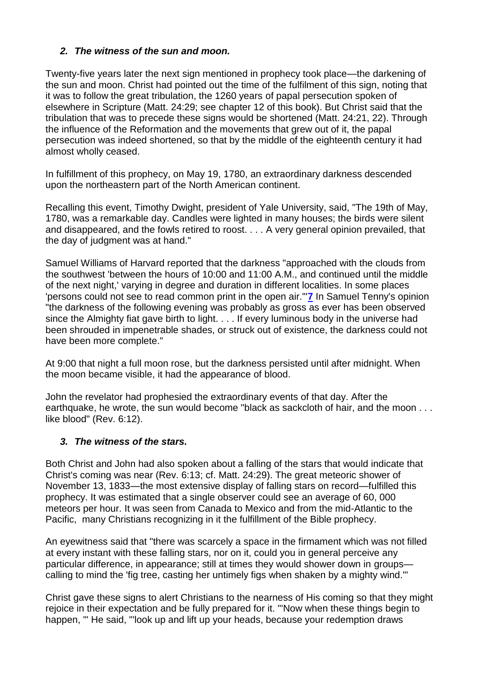## *2. The witness of the sun and moon.*

Twenty-five years later the next sign mentioned in prophecy took place—the darkening of the sun and moon. Christ had pointed out the time of the fulfilment of this sign, noting that it was to follow the great tribulation, the 1260 years of papal persecution spoken of elsewhere in Scripture (Matt. 24:29; see chapter 12 of this book). But Christ said that the tribulation that was to precede these signs would be shortened (Matt. 24:21, 22). Through the influence of the Reformation and the movements that grew out of it, the papal persecution was indeed shortened, so that by the middle of the eighteenth century it had almost wholly ceased.

In fulfillment of this prophecy, on May 19, 1780, an extraordinary darkness descended upon the northeastern part of the North American continent.

Recalling this event, Timothy Dwight, president of Yale University, said, "The 19th of May, 1780, was a remarkable day. Candles were lighted in many houses; the birds were silent and disappeared, and the fowls retired to roost. . . . A very general opinion prevailed, that the day of judgment was at hand."

Samuel Williams of Harvard reported that the darkness "approached with the clouds from the southwest 'between the hours of 10:00 and 11:00 A.M., and continued until the middle of the next night,' varying in degree and duration in different localities. In some places 'persons could not see to read common print in the open air.'"**[7](http://www.sdanet.org/atissue/books/27/27-24.htm#7)** In Samuel Tenny's opinion "the darkness of the following evening was probably as gross as ever has been observed since the Almighty fiat gave birth to light. . . . If every luminous body in the universe had been shrouded in impenetrable shades, or struck out of existence, the darkness could not have been more complete."

At 9:00 that night a full moon rose, but the darkness persisted until after midnight. When the moon became visible, it had the appearance of blood.

John the revelator had prophesied the extraordinary events of that day. After the earthquake, he wrote, the sun would become "black as sackcloth of hair, and the moon . . . like blood" (Rev. 6:12).

#### *3. The witness of the stars.*

Both Christ and John had also spoken about a falling of the stars that would indicate that Christ's coming was near (Rev. 6:13; cf. Matt. 24:29). The great meteoric shower of November 13, 1833—the most extensive display of falling stars on record—fulfilled this prophecy. It was estimated that a single observer could see an average of 60, 000 meteors per hour. It was seen from Canada to Mexico and from the mid-Atlantic to the Pacific, many Christians recognizing in it the fulfillment of the Bible prophecy.

An eyewitness said that "there was scarcely a space in the firmament which was not filled at every instant with these falling stars, nor on it, could you in general perceive any particular difference, in appearance; still at times they would shower down in groups calling to mind the 'fig tree, casting her untimely figs when shaken by a mighty wind.'"

Christ gave these signs to alert Christians to the nearness of His coming so that they might rejoice in their expectation and be fully prepared for it. "'Now when these things begin to happen, '" He said, "'look up and lift up your heads, because your redemption draws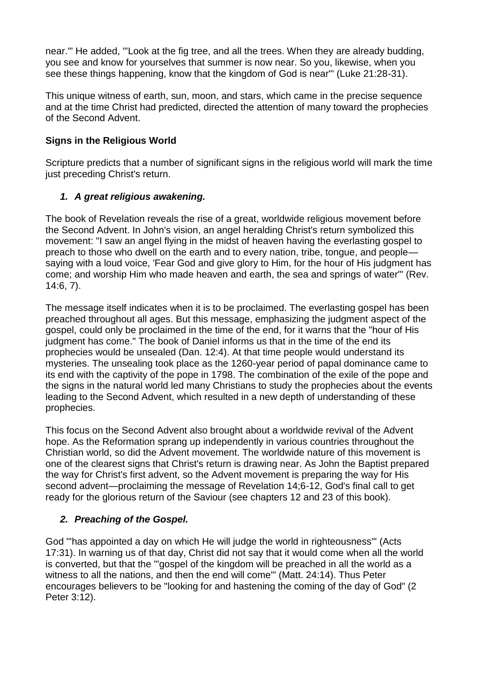near.'" He added, "'Look at the fig tree, and all the trees. When they are already budding, you see and know for yourselves that summer is now near. So you, likewise, when you see these things happening, know that the kingdom of God is near'" (Luke 21:28-31).

This unique witness of earth, sun, moon, and stars, which came in the precise sequence and at the time Christ had predicted, directed the attention of many toward the prophecies of the Second Advent.

## **Signs in the Religious World**

Scripture predicts that a number of significant signs in the religious world will mark the time just preceding Christ's return.

## *1. A great religious awakening.*

The book of Revelation reveals the rise of a great, worldwide religious movement before the Second Advent. In John's vision, an angel heralding Christ's return symbolized this movement: "I saw an angel flying in the midst of heaven having the everlasting gospel to preach to those who dwell on the earth and to every nation, tribe, tongue, and people saying with a loud voice, 'Fear God and give glory to Him, for the hour of His judgment has come; and worship Him who made heaven and earth, the sea and springs of water'" (Rev. 14:6, 7).

The message itself indicates when it is to be proclaimed. The everlasting gospel has been preached throughout all ages. But this message, emphasizing the judgment aspect of the gospel, could only be proclaimed in the time of the end, for it warns that the "hour of His judgment has come." The book of Daniel informs us that in the time of the end its prophecies would be unsealed (Dan. 12:4). At that time people would understand its mysteries. The unsealing took place as the 1260-year period of papal dominance came to its end with the captivity of the pope in 1798. The combination of the exile of the pope and the signs in the natural world led many Christians to study the prophecies about the events leading to the Second Advent, which resulted in a new depth of understanding of these prophecies.

This focus on the Second Advent also brought about a worldwide revival of the Advent hope. As the Reformation sprang up independently in various countries throughout the Christian world, so did the Advent movement. The worldwide nature of this movement is one of the clearest signs that Christ's return is drawing near. As John the Baptist prepared the way for Christ's first advent, so the Advent movement is preparing the way for His second advent—proclaiming the message of Revelation 14;6-12, God's final call to get ready for the glorious return of the Saviour (see chapters 12 and 23 of this book).

#### *2. Preaching of the Gospel.*

God "'has appointed a day on which He will judge the world in righteousness'" (Acts 17:31). In warning us of that day, Christ did not say that it would come when all the world is converted, but that the "'gospel of the kingdom will be preached in all the world as a witness to all the nations, and then the end will come'" (Matt. 24:14). Thus Peter encourages believers to be "looking for and hastening the coming of the day of God" (2 Peter 3:12).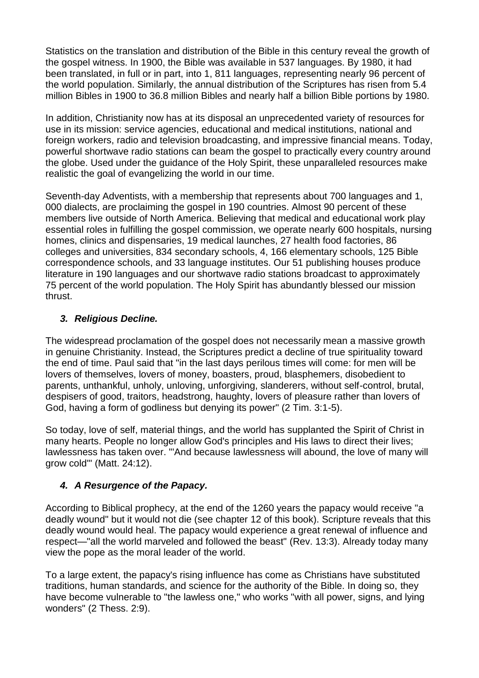Statistics on the translation and distribution of the Bible in this century reveal the growth of the gospel witness. In 1900, the Bible was available in 537 languages. By 1980, it had been translated, in full or in part, into 1, 811 languages, representing nearly 96 percent of the world population. Similarly, the annual distribution of the Scriptures has risen from 5.4 million Bibles in 1900 to 36.8 million Bibles and nearly half a billion Bible portions by 1980.

In addition, Christianity now has at its disposal an unprecedented variety of resources for use in its mission: service agencies, educational and medical institutions, national and foreign workers, radio and television broadcasting, and impressive financial means. Today, powerful shortwave radio stations can beam the gospel to practically every country around the globe. Used under the guidance of the Holy Spirit, these unparalleled resources make realistic the goal of evangelizing the world in our time.

Seventh-day Adventists, with a membership that represents about 700 languages and 1, 000 dialects, are proclaiming the gospel in 190 countries. Almost 90 percent of these members live outside of North America. Believing that medical and educational work play essential roles in fulfilling the gospel commission, we operate nearly 600 hospitals, nursing homes, clinics and dispensaries, 19 medical launches, 27 health food factories, 86 colleges and universities, 834 secondary schools, 4, 166 elementary schools, 125 Bible correspondence schools, and 33 language institutes. Our 51 publishing houses produce literature in 190 languages and our shortwave radio stations broadcast to approximately 75 percent of the world population. The Holy Spirit has abundantly blessed our mission thrust.

## *3. Religious Decline.*

The widespread proclamation of the gospel does not necessarily mean a massive growth in genuine Christianity. Instead, the Scriptures predict a decline of true spirituality toward the end of time. Paul said that "in the last days perilous times will come: for men will be lovers of themselves, lovers of money, boasters, proud, blasphemers, disobedient to parents, unthankful, unholy, unloving, unforgiving, slanderers, without self-control, brutal, despisers of good, traitors, headstrong, haughty, lovers of pleasure rather than lovers of God, having a form of godliness but denying its power" (2 Tim. 3:1-5).

So today, love of self, material things, and the world has supplanted the Spirit of Christ in many hearts. People no longer allow God's principles and His laws to direct their lives; lawlessness has taken over. "'And because lawlessness will abound, the love of many will grow cold'" (Matt. 24:12).

# *4. A Resurgence of the Papacy.*

According to Biblical prophecy, at the end of the 1260 years the papacy would receive "a deadly wound" but it would not die (see chapter 12 of this book). Scripture reveals that this deadly wound would heal. The papacy would experience a great renewal of influence and respect—"all the world marveled and followed the beast" (Rev. 13:3). Already today many view the pope as the moral leader of the world.

To a large extent, the papacy's rising influence has come as Christians have substituted traditions, human standards, and science for the authority of the Bible. In doing so, they have become vulnerable to "the lawless one," who works "with all power, signs, and lying wonders" (2 Thess. 2:9).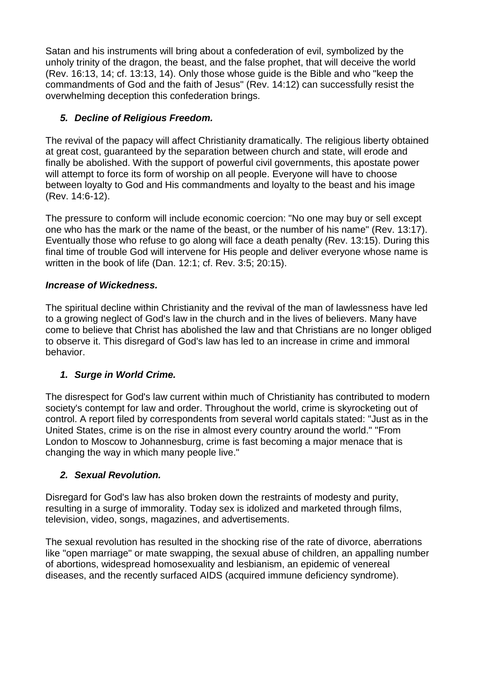Satan and his instruments will bring about a confederation of evil, symbolized by the unholy trinity of the dragon, the beast, and the false prophet, that will deceive the world (Rev. 16:13, 14; cf. 13:13, 14). Only those whose guide is the Bible and who "keep the commandments of God and the faith of Jesus" (Rev. 14:12) can successfully resist the overwhelming deception this confederation brings.

# *5. Decline of Religious Freedom.*

The revival of the papacy will affect Christianity dramatically. The religious liberty obtained at great cost, guaranteed by the separation between church and state, will erode and finally be abolished. With the support of powerful civil governments, this apostate power will attempt to force its form of worship on all people. Everyone will have to choose between loyalty to God and His commandments and loyalty to the beast and his image (Rev. 14:6-12).

The pressure to conform will include economic coercion: "No one may buy or sell except one who has the mark or the name of the beast, or the number of his name" (Rev. 13:17). Eventually those who refuse to go along will face a death penalty (Rev. 13:15). During this final time of trouble God will intervene for His people and deliver everyone whose name is written in the book of life (Dan. 12:1; cf. Rev. 3:5; 20:15).

#### *Increase of Wickedness.*

The spiritual decline within Christianity and the revival of the man of lawlessness have led to a growing neglect of God's law in the church and in the lives of believers. Many have come to believe that Christ has abolished the law and that Christians are no longer obliged to observe it. This disregard of God's law has led to an increase in crime and immoral behavior.

#### *1. Surge in World Crime.*

The disrespect for God's law current within much of Christianity has contributed to modern society's contempt for law and order. Throughout the world, crime is skyrocketing out of control. A report filed by correspondents from several world capitals stated: "Just as in the United States, crime is on the rise in almost every country around the world." "From London to Moscow to Johannesburg, crime is fast becoming a major menace that is changing the way in which many people live."

#### *2. Sexual Revolution.*

Disregard for God's law has also broken down the restraints of modesty and purity, resulting in a surge of immorality. Today sex is idolized and marketed through films, television, video, songs, magazines, and advertisements.

The sexual revolution has resulted in the shocking rise of the rate of divorce, aberrations like "open marriage" or mate swapping, the sexual abuse of children, an appalling number of abortions, widespread homosexuality and lesbianism, an epidemic of venereal diseases, and the recently surfaced AIDS (acquired immune deficiency syndrome).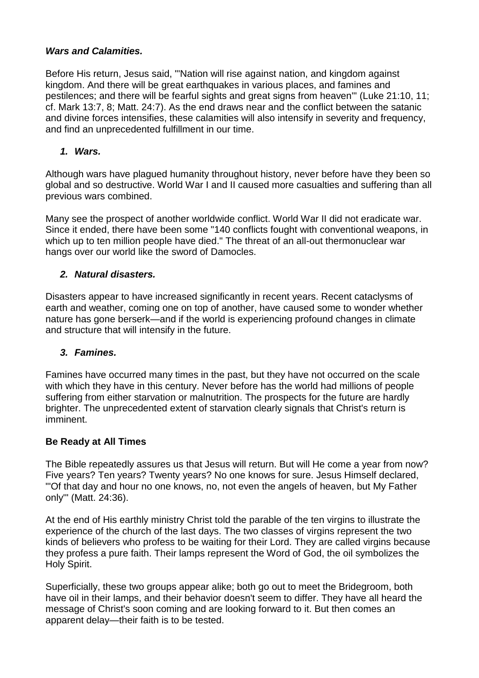#### *Wars and Calamities.*

Before His return, Jesus said, "'Nation will rise against nation, and kingdom against kingdom. And there will be great earthquakes in various places, and famines and pestilences; and there will be fearful sights and great signs from heaven'" (Luke 21:10, 11; cf. Mark 13:7, 8; Matt. 24:7). As the end draws near and the conflict between the satanic and divine forces intensifies, these calamities will also intensify in severity and frequency, and find an unprecedented fulfillment in our time.

#### *1. Wars.*

Although wars have plagued humanity throughout history, never before have they been so global and so destructive. World War I and II caused more casualties and suffering than all previous wars combined.

Many see the prospect of another worldwide conflict. World War II did not eradicate war. Since it ended, there have been some "140 conflicts fought with conventional weapons, in which up to ten million people have died." The threat of an all-out thermonuclear war hangs over our world like the sword of Damocles.

#### *2. Natural disasters.*

Disasters appear to have increased significantly in recent years. Recent cataclysms of earth and weather, coming one on top of another, have caused some to wonder whether nature has gone berserk—and if the world is experiencing profound changes in climate and structure that will intensify in the future.

#### *3. Famines.*

Famines have occurred many times in the past, but they have not occurred on the scale with which they have in this century. Never before has the world had millions of people suffering from either starvation or malnutrition. The prospects for the future are hardly brighter. The unprecedented extent of starvation clearly signals that Christ's return is imminent.

#### **Be Ready at All Times**

The Bible repeatedly assures us that Jesus will return. But will He come a year from now? Five years? Ten years? Twenty years? No one knows for sure. Jesus Himself declared, "'Of that day and hour no one knows, no, not even the angels of heaven, but My Father only'" (Matt. 24:36).

At the end of His earthly ministry Christ told the parable of the ten virgins to illustrate the experience of the church of the last days. The two classes of virgins represent the two kinds of believers who profess to be waiting for their Lord. They are called virgins because they profess a pure faith. Their lamps represent the Word of God, the oil symbolizes the Holy Spirit.

Superficially, these two groups appear alike; both go out to meet the Bridegroom, both have oil in their lamps, and their behavior doesn't seem to differ. They have all heard the message of Christ's soon coming and are looking forward to it. But then comes an apparent delay—their faith is to be tested.